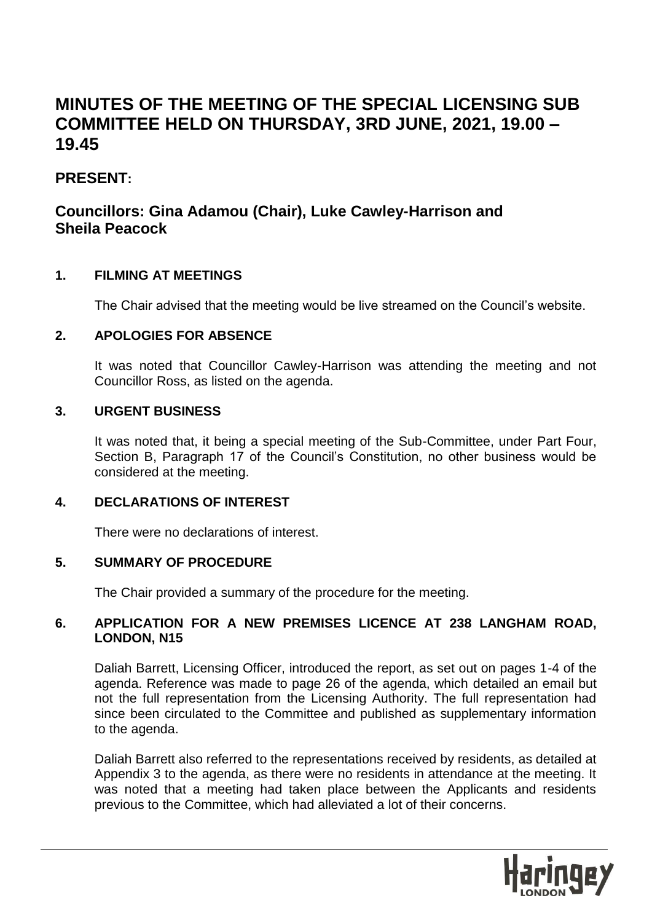# **MINUTES OF THE MEETING OF THE SPECIAL LICENSING SUB COMMITTEE HELD ON THURSDAY, 3RD JUNE, 2021, 19.00 – 19.45**

# **PRESENT:**

# **Councillors: Gina Adamou (Chair), Luke Cawley-Harrison and Sheila Peacock**

# **1. FILMING AT MEETINGS**

The Chair advised that the meeting would be live streamed on the Council's website.

# **2. APOLOGIES FOR ABSENCE**

It was noted that Councillor Cawley-Harrison was attending the meeting and not Councillor Ross, as listed on the agenda.

# **3. URGENT BUSINESS**

It was noted that, it being a special meeting of the Sub-Committee, under Part Four, Section B, Paragraph 17 of the Council's Constitution, no other business would be considered at the meeting.

# **4. DECLARATIONS OF INTEREST**

There were no declarations of interest.

# **5. SUMMARY OF PROCEDURE**

The Chair provided a summary of the procedure for the meeting.

# **6. APPLICATION FOR A NEW PREMISES LICENCE AT 238 LANGHAM ROAD, LONDON, N15**

Daliah Barrett, Licensing Officer, introduced the report, as set out on pages 1-4 of the agenda. Reference was made to page 26 of the agenda, which detailed an email but not the full representation from the Licensing Authority. The full representation had since been circulated to the Committee and published as supplementary information to the agenda.

Daliah Barrett also referred to the representations received by residents, as detailed at Appendix 3 to the agenda, as there were no residents in attendance at the meeting. It was noted that a meeting had taken place between the Applicants and residents previous to the Committee, which had alleviated a lot of their concerns.

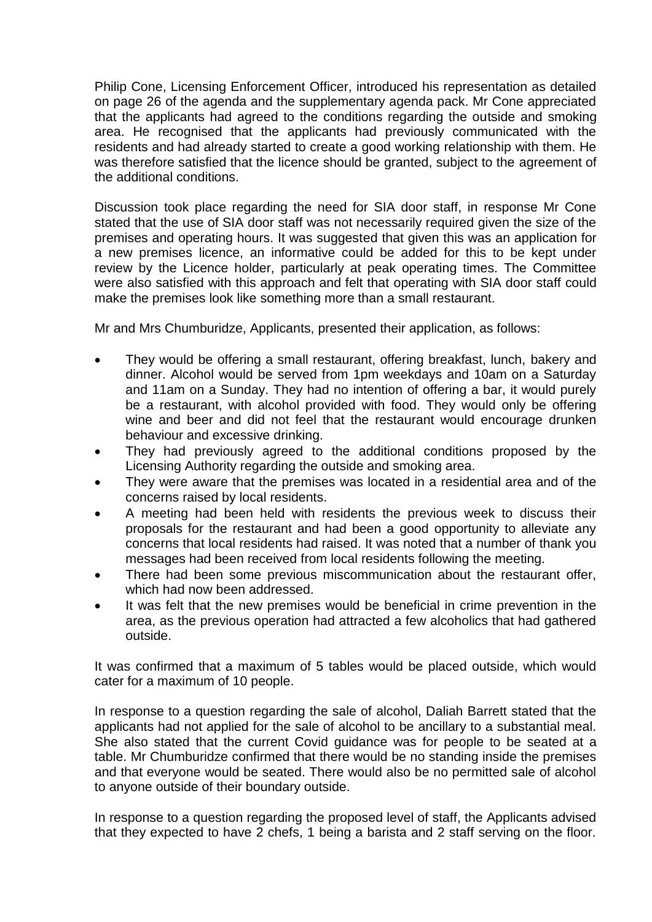Philip Cone, Licensing Enforcement Officer, introduced his representation as detailed on page 26 of the agenda and the supplementary agenda pack. Mr Cone appreciated that the applicants had agreed to the conditions regarding the outside and smoking area. He recognised that the applicants had previously communicated with the residents and had already started to create a good working relationship with them. He was therefore satisfied that the licence should be granted, subject to the agreement of the additional conditions.

Discussion took place regarding the need for SIA door staff, in response Mr Cone stated that the use of SIA door staff was not necessarily required given the size of the premises and operating hours. It was suggested that given this was an application for a new premises licence, an informative could be added for this to be kept under review by the Licence holder, particularly at peak operating times. The Committee were also satisfied with this approach and felt that operating with SIA door staff could make the premises look like something more than a small restaurant.

Mr and Mrs Chumburidze, Applicants, presented their application, as follows:

- They would be offering a small restaurant, offering breakfast, lunch, bakery and dinner. Alcohol would be served from 1pm weekdays and 10am on a Saturday and 11am on a Sunday. They had no intention of offering a bar, it would purely be a restaurant, with alcohol provided with food. They would only be offering wine and beer and did not feel that the restaurant would encourage drunken behaviour and excessive drinking.
- They had previously agreed to the additional conditions proposed by the Licensing Authority regarding the outside and smoking area.
- They were aware that the premises was located in a residential area and of the concerns raised by local residents.
- A meeting had been held with residents the previous week to discuss their proposals for the restaurant and had been a good opportunity to alleviate any concerns that local residents had raised. It was noted that a number of thank you messages had been received from local residents following the meeting.
- There had been some previous miscommunication about the restaurant offer, which had now been addressed.
- It was felt that the new premises would be beneficial in crime prevention in the area, as the previous operation had attracted a few alcoholics that had gathered outside.

It was confirmed that a maximum of 5 tables would be placed outside, which would cater for a maximum of 10 people.

In response to a question regarding the sale of alcohol, Daliah Barrett stated that the applicants had not applied for the sale of alcohol to be ancillary to a substantial meal. She also stated that the current Covid guidance was for people to be seated at a table. Mr Chumburidze confirmed that there would be no standing inside the premises and that everyone would be seated. There would also be no permitted sale of alcohol to anyone outside of their boundary outside.

In response to a question regarding the proposed level of staff, the Applicants advised that they expected to have 2 chefs, 1 being a barista and 2 staff serving on the floor.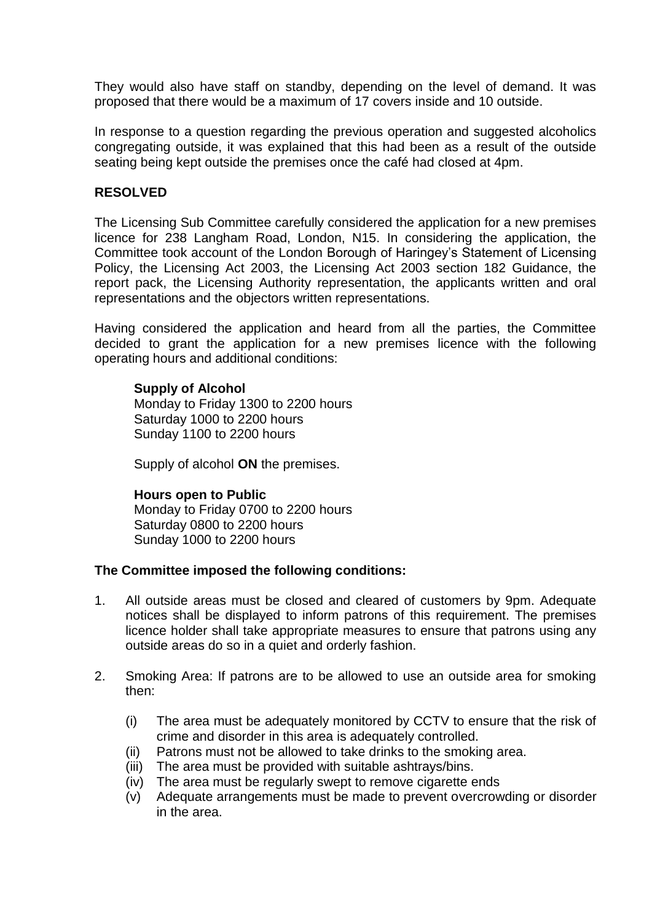They would also have staff on standby, depending on the level of demand. It was proposed that there would be a maximum of 17 covers inside and 10 outside.

In response to a question regarding the previous operation and suggested alcoholics congregating outside, it was explained that this had been as a result of the outside seating being kept outside the premises once the café had closed at 4pm.

#### **RESOLVED**

The Licensing Sub Committee carefully considered the application for a new premises licence for 238 Langham Road, London, N15. In considering the application, the Committee took account of the London Borough of Haringey's Statement of Licensing Policy, the Licensing Act 2003, the Licensing Act 2003 section 182 Guidance, the report pack, the Licensing Authority representation, the applicants written and oral representations and the objectors written representations.

Having considered the application and heard from all the parties, the Committee decided to grant the application for a new premises licence with the following operating hours and additional conditions:

# **Supply of Alcohol**

Monday to Friday 1300 to 2200 hours Saturday 1000 to 2200 hours Sunday 1100 to 2200 hours

Supply of alcohol **ON** the premises.

# **Hours open to Public**

Monday to Friday 0700 to 2200 hours Saturday 0800 to 2200 hours Sunday 1000 to 2200 hours

# **The Committee imposed the following conditions:**

- 1. All outside areas must be closed and cleared of customers by 9pm. Adequate notices shall be displayed to inform patrons of this requirement. The premises licence holder shall take appropriate measures to ensure that patrons using any outside areas do so in a quiet and orderly fashion.
- 2. Smoking Area: If patrons are to be allowed to use an outside area for smoking then:
	- (i) The area must be adequately monitored by CCTV to ensure that the risk of crime and disorder in this area is adequately controlled.
	- (ii) Patrons must not be allowed to take drinks to the smoking area.
	- (iii) The area must be provided with suitable ashtrays/bins.
	- (iv) The area must be regularly swept to remove cigarette ends
	- (v) Adequate arrangements must be made to prevent overcrowding or disorder in the area.